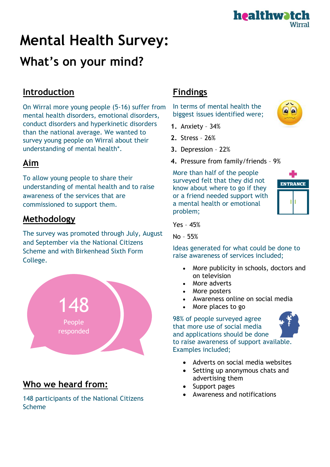

# **Mental Health Survey: What's on your mind?**

#### **Introduction**

On Wirral more young people (5-16) suffer from mental health disorders, emotional disorders, conduct disorders and hyperkinetic disorders than the national average. We wanted to survey young people on Wirral about their understanding of mental health\*.

### **Aim**

To allow young people to share their understanding of mental health and to raise awareness of the services that are commissioned to support them.

#### **Methodology**

The survey was promoted through July, August and September via the National Citizens Scheme and with Birkenhead Sixth Form College.



## **Who we heard from:**

148 participants of the National Citizens Scheme

## **Findings**

In terms of mental health the biggest issues identified were;

- **1.** Anxiety 34%
- **2.** Stress 26%
- **3.** Depression 22%
- **4.** Pressure from family/friends 9%

More than half of the people surveyed felt that they did not know about where to go if they or a friend needed support with a mental health or emotional problem;



 $\Omega$ 

Yes – 45%

No – 55%

Ideas generated for what could be done to raise awareness of services included;

- More publicity in schools, doctors and on television
- More adverts
- More posters
- Awareness online on social media
- More places to go

98% of people surveyed agree that more use of social media and applications should be done to raise awareness of support available. Examples included;

- Adverts on social media websites
- Setting up anonymous chats and advertising them
- Support pages
- Awareness and notifications